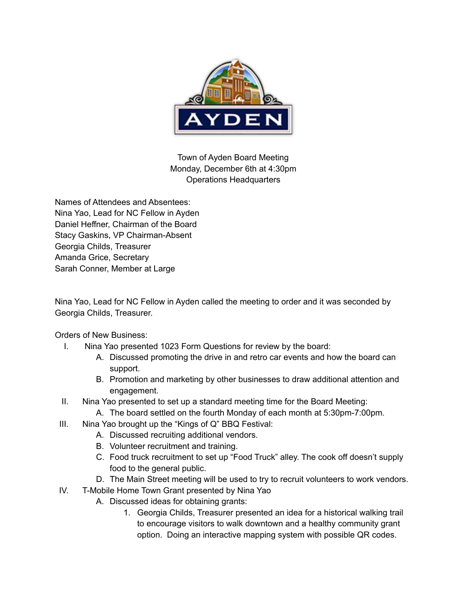

Town of Ayden Board Meeting Monday, December 6th at 4:30pm Operations Headquarters

Names of Attendees and Absentees: Nina Yao, Lead for NC Fellow in Ayden Daniel Heffner, Chairman of the Board Stacy Gaskins, VP Chairman-Absent Georgia Childs, Treasurer Amanda Grice, Secretary Sarah Conner, Member at Large

Nina Yao, Lead for NC Fellow in Ayden called the meeting to order and it was seconded by Georgia Childs, Treasurer.

Orders of New Business:

- I. Nina Yao presented 1023 Form Questions for review by the board:
	- A. Discussed promoting the drive in and retro car events and how the board can support.
	- B. Promotion and marketing by other businesses to draw additional attention and engagement.
- II. Nina Yao presented to set up a standard meeting time for the Board Meeting:
	- A. The board settled on the fourth Monday of each month at 5:30pm-7:00pm.
- III. Nina Yao brought up the "Kings of Q" BBQ Festival:
	- A. Discussed recruiting additional vendors.
	- B. Volunteer recruitment and training.
	- C. Food truck recruitment to set up "Food Truck" alley. The cook off doesn't supply food to the general public.
	- D. The Main Street meeting will be used to try to recruit volunteers to work vendors.
- IV. T-Mobile Home Town Grant presented by Nina Yao
	- A. Discussed ideas for obtaining grants:
		- 1. Georgia Childs, Treasurer presented an idea for a historical walking trail to encourage visitors to walk downtown and a healthy community grant option. Doing an interactive mapping system with possible QR codes.